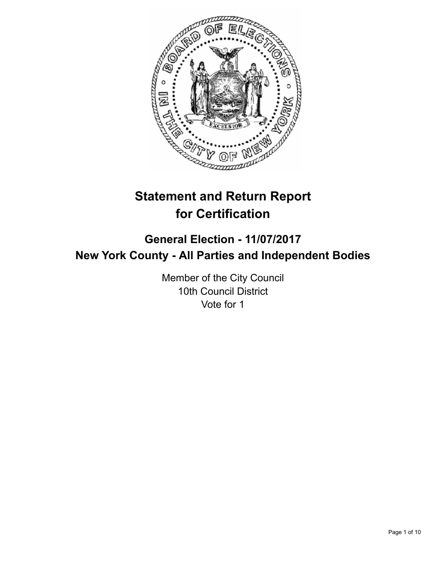

# **Statement and Return Report for Certification**

## **General Election - 11/07/2017 New York County - All Parties and Independent Bodies**

Member of the City Council 10th Council District Vote for 1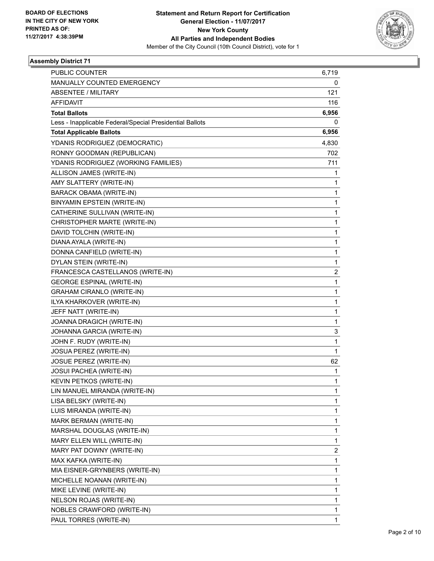

| <b>PUBLIC COUNTER</b>                                    | 6,719        |
|----------------------------------------------------------|--------------|
| MANUALLY COUNTED EMERGENCY                               | 0            |
| <b>ABSENTEE / MILITARY</b>                               | 121          |
| AFFIDAVIT                                                | 116          |
| <b>Total Ballots</b>                                     | 6,956        |
| Less - Inapplicable Federal/Special Presidential Ballots | 0            |
| <b>Total Applicable Ballots</b>                          | 6,956        |
| YDANIS RODRIGUEZ (DEMOCRATIC)                            | 4,830        |
| RONNY GOODMAN (REPUBLICAN)                               | 702          |
| YDANIS RODRIGUEZ (WORKING FAMILIES)                      | 711          |
| ALLISON JAMES (WRITE-IN)                                 | 1            |
| AMY SLATTERY (WRITE-IN)                                  | 1            |
| BARACK OBAMA (WRITE-IN)                                  | 1            |
| BINYAMIN EPSTEIN (WRITE-IN)                              | 1            |
| CATHERINE SULLIVAN (WRITE-IN)                            | $\mathbf{1}$ |
| CHRISTOPHER MARTE (WRITE-IN)                             | 1            |
| DAVID TOLCHIN (WRITE-IN)                                 | 1            |
| DIANA AYALA (WRITE-IN)                                   | 1            |
| DONNA CANFIELD (WRITE-IN)                                | 1            |
| DYLAN STEIN (WRITE-IN)                                   | 1            |
| FRANCESCA CASTELLANOS (WRITE-IN)                         | 2            |
| <b>GEORGE ESPINAL (WRITE-IN)</b>                         | 1            |
| <b>GRAHAM CIRANLO (WRITE-IN)</b>                         | 1            |
| ILYA KHARKOVER (WRITE-IN)                                | $\mathbf{1}$ |
| JEFF NATT (WRITE-IN)                                     | 1            |
| JOANNA DRAGICH (WRITE-IN)                                | 1            |
| JOHANNA GARCIA (WRITE-IN)                                | 3            |
| JOHN F. RUDY (WRITE-IN)                                  | 1            |
| JOSUA PEREZ (WRITE-IN)                                   | 1            |
| JOSUE PEREZ (WRITE-IN)                                   | 62           |
| JOSUI PACHEA (WRITE-IN)                                  | 1            |
| KEVIN PETKOS (WRITE-IN)                                  | 1            |
| LIN MANUEL MIRANDA (WRITE-IN)                            | 1            |
| LISA BELSKY (WRITE-IN)                                   | 1            |
| LUIS MIRANDA (WRITE-IN)                                  | 1            |
| MARK BERMAN (WRITE-IN)                                   | 1            |
| MARSHAL DOUGLAS (WRITE-IN)                               | 1            |
| MARY ELLEN WILL (WRITE-IN)                               | 1            |
| MARY PAT DOWNY (WRITE-IN)                                | 2            |
| MAX KAFKA (WRITE-IN)                                     | 1            |
| MIA EISNER-GRYNBERS (WRITE-IN)                           | 1            |
| MICHELLE NOANAN (WRITE-IN)                               | 1            |
| MIKE LEVINE (WRITE-IN)                                   | 1            |
| NELSON ROJAS (WRITE-IN)                                  | 1            |
| NOBLES CRAWFORD (WRITE-IN)                               | 1            |
| PAUL TORRES (WRITE-IN)                                   | 1            |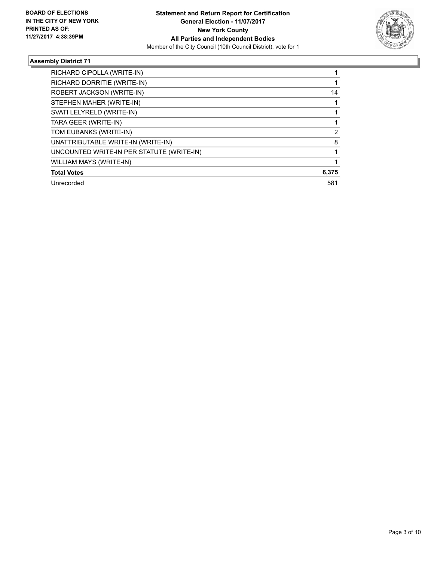

| RICHARD CIPOLLA (WRITE-IN)                |       |
|-------------------------------------------|-------|
| RICHARD DORRITIE (WRITE-IN)               |       |
| ROBERT JACKSON (WRITE-IN)                 | 14    |
| STEPHEN MAHER (WRITE-IN)                  |       |
| SVATI LELYRELD (WRITE-IN)                 |       |
| TARA GEER (WRITE-IN)                      |       |
| TOM EUBANKS (WRITE-IN)                    | 2     |
| UNATTRIBUTABLE WRITE-IN (WRITE-IN)        | 8     |
| UNCOUNTED WRITE-IN PER STATUTE (WRITE-IN) |       |
| WILLIAM MAYS (WRITE-IN)                   |       |
| <b>Total Votes</b>                        | 6,375 |
| Unrecorded                                | 581   |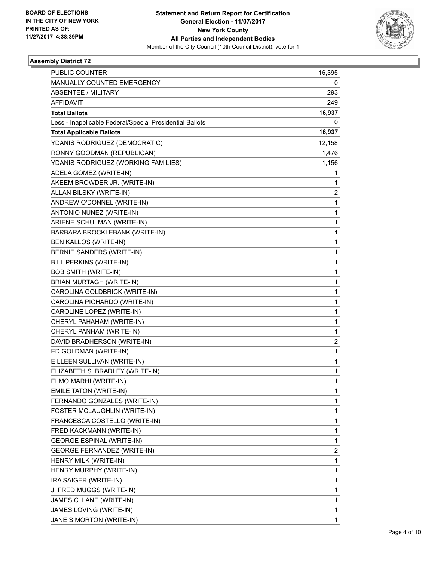

| <b>PUBLIC COUNTER</b>                                    | 16,395                  |
|----------------------------------------------------------|-------------------------|
| MANUALLY COUNTED EMERGENCY                               | 0                       |
| <b>ABSENTEE / MILITARY</b>                               | 293                     |
| <b>AFFIDAVIT</b>                                         | 249                     |
| <b>Total Ballots</b>                                     | 16,937                  |
| Less - Inapplicable Federal/Special Presidential Ballots | 0                       |
| <b>Total Applicable Ballots</b>                          | 16,937                  |
| YDANIS RODRIGUEZ (DEMOCRATIC)                            | 12,158                  |
| RONNY GOODMAN (REPUBLICAN)                               | 1,476                   |
| YDANIS RODRIGUEZ (WORKING FAMILIES)                      | 1,156                   |
| ADELA GOMEZ (WRITE-IN)                                   | 1                       |
| AKEEM BROWDER JR. (WRITE-IN)                             | 1                       |
| ALLAN BILSKY (WRITE-IN)                                  | $\overline{\mathbf{c}}$ |
| ANDREW O'DONNEL (WRITE-IN)                               | 1                       |
| ANTONIO NUNEZ (WRITE-IN)                                 | 1                       |
| ARIENE SCHULMAN (WRITE-IN)                               | 1                       |
| BARBARA BROCKLEBANK (WRITE-IN)                           | $\mathbf{1}$            |
| <b>BEN KALLOS (WRITE-IN)</b>                             | 1                       |
| BERNIE SANDERS (WRITE-IN)                                | 1                       |
| <b>BILL PERKINS (WRITE-IN)</b>                           | 1                       |
| <b>BOB SMITH (WRITE-IN)</b>                              | 1                       |
| BRIAN MURTAGH (WRITE-IN)                                 | 1                       |
| CAROLINA GOLDBRICK (WRITE-IN)                            | $\mathbf{1}$            |
| CAROLINA PICHARDO (WRITE-IN)                             | 1                       |
| CAROLINE LOPEZ (WRITE-IN)                                | 1                       |
| CHERYL PAHAHAM (WRITE-IN)                                | 1                       |
| CHERYL PANHAM (WRITE-IN)                                 | 1                       |
| DAVID BRADHERSON (WRITE-IN)                              | 2                       |
| ED GOLDMAN (WRITE-IN)                                    | $\mathbf{1}$            |
| EILLEEN SULLIVAN (WRITE-IN)                              | 1                       |
| ELIZABETH S. BRADLEY (WRITE-IN)                          | 1                       |
| ELMO MARHI (WRITE-IN)                                    | 1                       |
| EMILE TATON (WRITE-IN)                                   | 1                       |
| FERNANDO GONZALES (WRITE-IN)                             | 1                       |
| FOSTER MCLAUGHLIN (WRITE-IN)                             | 1                       |
| FRANCESCA COSTELLO (WRITE-IN)                            | 1                       |
| FRED KACKMANN (WRITE-IN)                                 | 1                       |
| <b>GEORGE ESPINAL (WRITE-IN)</b>                         | 1                       |
| <b>GEORGE FERNANDEZ (WRITE-IN)</b>                       | 2                       |
| HENRY MILK (WRITE-IN)                                    | 1                       |
| HENRY MURPHY (WRITE-IN)                                  | 1                       |
| IRA SAIGER (WRITE-IN)                                    | 1                       |
| J. FRED MUGGS (WRITE-IN)                                 | 1                       |
| JAMES C. LANE (WRITE-IN)                                 | 1                       |
| JAMES LOVING (WRITE-IN)                                  | 1                       |
| JANE S MORTON (WRITE-IN)                                 | 1                       |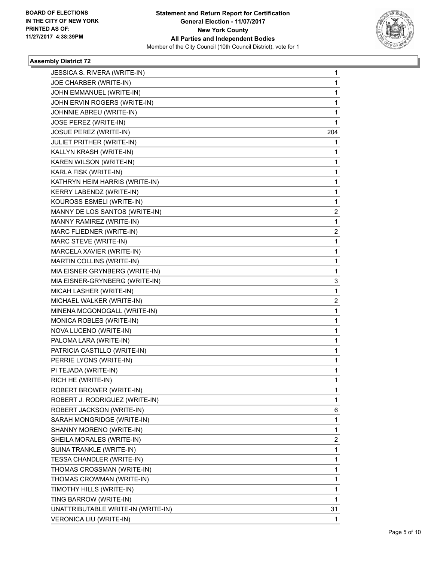

| JESSICA S. RIVERA (WRITE-IN)       | 1            |
|------------------------------------|--------------|
| JOE CHARBER (WRITE-IN)             | 1            |
| JOHN EMMANUEL (WRITE-IN)           | 1            |
| JOHN ERVIN ROGERS (WRITE-IN)       | 1            |
| JOHNNIE ABREU (WRITE-IN)           | 1            |
| JOSE PEREZ (WRITE-IN)              | 1            |
| <b>JOSUE PEREZ (WRITE-IN)</b>      | 204          |
| JULIET PRITHER (WRITE-IN)          | 1            |
| KALLYN KRASH (WRITE-IN)            | 1            |
| KAREN WILSON (WRITE-IN)            | 1            |
| KARLA FISK (WRITE-IN)              | 1            |
| KATHRYN HEIM HARRIS (WRITE-IN)     | 1            |
| KERRY LABENDZ (WRITE-IN)           | 1            |
| KOUROSS ESMELI (WRITE-IN)          | 1            |
| MANNY DE LOS SANTOS (WRITE-IN)     | 2            |
| MANNY RAMIREZ (WRITE-IN)           | 1            |
| MARC FLIEDNER (WRITE-IN)           | 2            |
| MARC STEVE (WRITE-IN)              | 1            |
| MARCELA XAVIER (WRITE-IN)          | 1            |
| MARTIN COLLINS (WRITE-IN)          | 1            |
| MIA EISNER GRYNBERG (WRITE-IN)     | 1            |
| MIA EISNER-GRYNBERG (WRITE-IN)     | 3            |
| MICAH LASHER (WRITE-IN)            | 1            |
| MICHAEL WALKER (WRITE-IN)          | 2            |
| MINENA MCGONOGALL (WRITE-IN)       | 1            |
| MONICA ROBLES (WRITE-IN)           | 1            |
| NOVA LUCENO (WRITE-IN)             | 1            |
| PALOMA LARA (WRITE-IN)             | 1            |
| PATRICIA CASTILLO (WRITE-IN)       | 1            |
| PERRIE LYONS (WRITE-IN)            | 1            |
| PI TEJADA (WRITE-IN)               | 1            |
| RICH HE (WRITE-IN)                 | $\mathbf{1}$ |
| ROBERT BROWER (WRITE-IN)           | 1            |
| ROBERT J. RODRIGUEZ (WRITE-IN)     | 1            |
| ROBERT JACKSON (WRITE-IN)          | 6            |
| SARAH MONGRIDGE (WRITE-IN)         | 1            |
| SHANNY MORENO (WRITE-IN)           | 1            |
| SHEILA MORALES (WRITE-IN)          | 2            |
| SUINA TRANKLE (WRITE-IN)           | 1            |
| TESSA CHANDLER (WRITE-IN)          | 1            |
| THOMAS CROSSMAN (WRITE-IN)         | 1            |
| THOMAS CROWMAN (WRITE-IN)          | 1            |
| TIMOTHY HILLS (WRITE-IN)           | 1            |
| TING BARROW (WRITE-IN)             | 1            |
| UNATTRIBUTABLE WRITE-IN (WRITE-IN) | 31           |
| VERONICA LIU (WRITE-IN)            | 1            |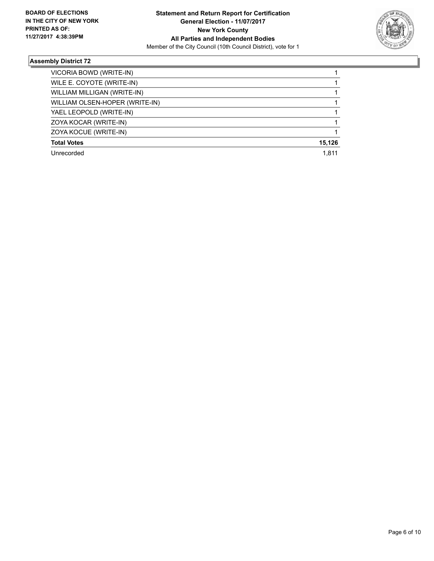

| VICORIA BOWD (WRITE-IN)        |        |
|--------------------------------|--------|
| WILE E. COYOTE (WRITE-IN)      |        |
| WILLIAM MILLIGAN (WRITE-IN)    |        |
| WILLIAM OLSEN-HOPER (WRITE-IN) |        |
| YAEL LEOPOLD (WRITE-IN)        |        |
| ZOYA KOCAR (WRITE-IN)          |        |
| ZOYA KOCUE (WRITE-IN)          |        |
| <b>Total Votes</b>             | 15.126 |
| Unrecorded                     | 1.811  |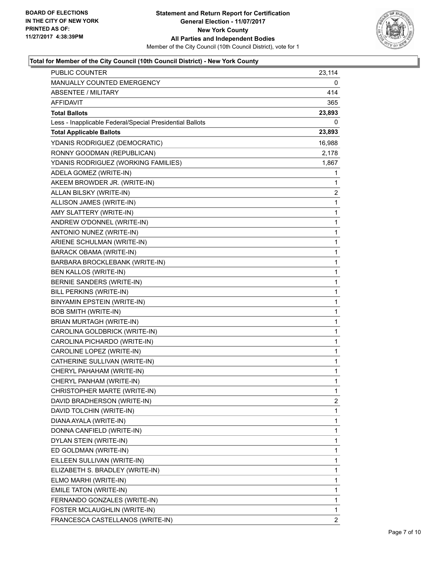

| PUBLIC COUNTER                                           | 23,114         |
|----------------------------------------------------------|----------------|
| MANUALLY COUNTED EMERGENCY                               | 0              |
| ABSENTEE / MILITARY                                      | 414            |
| AFFIDAVIT                                                | 365            |
| <b>Total Ballots</b>                                     | 23,893         |
| Less - Inapplicable Federal/Special Presidential Ballots | 0              |
| <b>Total Applicable Ballots</b>                          | 23,893         |
| YDANIS RODRIGUEZ (DEMOCRATIC)                            | 16,988         |
| RONNY GOODMAN (REPUBLICAN)                               | 2,178          |
| YDANIS RODRIGUEZ (WORKING FAMILIES)                      | 1,867          |
| ADELA GOMEZ (WRITE-IN)                                   | 1              |
| AKEEM BROWDER JR. (WRITE-IN)                             | 1              |
| ALLAN BILSKY (WRITE-IN)                                  | $\overline{2}$ |
| ALLISON JAMES (WRITE-IN)                                 | 1              |
| AMY SLATTERY (WRITE-IN)                                  | 1              |
| ANDREW O'DONNEL (WRITE-IN)                               | 1              |
| ANTONIO NUNEZ (WRITE-IN)                                 | 1              |
| ARIENE SCHULMAN (WRITE-IN)                               | 1              |
| <b>BARACK OBAMA (WRITE-IN)</b>                           | 1              |
| BARBARA BROCKLEBANK (WRITE-IN)                           | $\mathbf{1}$   |
| BEN KALLOS (WRITE-IN)                                    | 1              |
| BERNIE SANDERS (WRITE-IN)                                | $\mathbf 1$    |
| BILL PERKINS (WRITE-IN)                                  | 1              |
| BINYAMIN EPSTEIN (WRITE-IN)                              | 1              |
| <b>BOB SMITH (WRITE-IN)</b>                              | 1              |
| BRIAN MURTAGH (WRITE-IN)                                 | $\mathbf{1}$   |
| CAROLINA GOLDBRICK (WRITE-IN)                            | 1              |
| CAROLINA PICHARDO (WRITE-IN)                             | 1              |
| CAROLINE LOPEZ (WRITE-IN)                                | 1              |
| CATHERINE SULLIVAN (WRITE-IN)                            | 1              |
| CHERYL PAHAHAM (WRITE-IN)                                | 1              |
| CHERYL PANHAM (WRITE-IN)                                 | $\mathbf{1}$   |
| CHRISTOPHER MARTE (WRITE-IN)                             | 1              |
| DAVID BRADHERSON (WRITE-IN)                              | 2              |
| DAVID TOLCHIN (WRITE-IN)                                 | 1              |
| DIANA AYALA (WRITE-IN)                                   | 1              |
| DONNA CANFIELD (WRITE-IN)                                | 1              |
| DYLAN STEIN (WRITE-IN)                                   | 1              |
| ED GOLDMAN (WRITE-IN)                                    | 1              |
| EILLEEN SULLIVAN (WRITE-IN)                              | 1              |
| ELIZABETH S. BRADLEY (WRITE-IN)                          | 1              |
| ELMO MARHI (WRITE-IN)                                    | 1              |
| EMILE TATON (WRITE-IN)                                   | 1              |
| FERNANDO GONZALES (WRITE-IN)                             | 1              |
| FOSTER MCLAUGHLIN (WRITE-IN)                             | 1              |
| FRANCESCA CASTELLANOS (WRITE-IN)                         | $\overline{2}$ |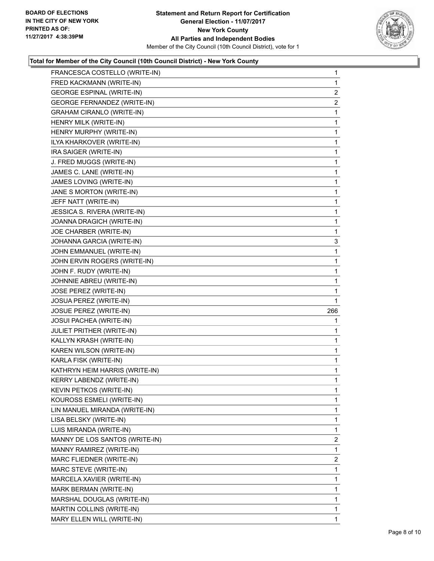

| FRANCESCA COSTELLO (WRITE-IN)    | 1              |
|----------------------------------|----------------|
| FRED KACKMANN (WRITE-IN)         | 1              |
| <b>GEORGE ESPINAL (WRITE-IN)</b> | $\overline{2}$ |
| GEORGE FERNANDEZ (WRITE-IN)      | $\overline{2}$ |
| <b>GRAHAM CIRANLO (WRITE-IN)</b> | 1              |
| HENRY MILK (WRITE-IN)            | 1              |
| HENRY MURPHY (WRITE-IN)          | 1              |
| ILYA KHARKOVER (WRITE-IN)        | 1              |
| IRA SAIGER (WRITE-IN)            | 1              |
| J. FRED MUGGS (WRITE-IN)         | 1              |
| JAMES C. LANE (WRITE-IN)         | 1              |
| JAMES LOVING (WRITE-IN)          | 1              |
| JANE S MORTON (WRITE-IN)         | 1              |
| JEFF NATT (WRITE-IN)             | 1              |
| JESSICA S. RIVERA (WRITE-IN)     | 1              |
| JOANNA DRAGICH (WRITE-IN)        | 1              |
| JOE CHARBER (WRITE-IN)           | 1              |
| JOHANNA GARCIA (WRITE-IN)        | 3              |
| JOHN EMMANUEL (WRITE-IN)         | 1              |
| JOHN ERVIN ROGERS (WRITE-IN)     | 1              |
| JOHN F. RUDY (WRITE-IN)          | 1              |
| JOHNNIE ABREU (WRITE-IN)         | 1              |
| JOSE PEREZ (WRITE-IN)            | 1              |
| JOSUA PEREZ (WRITE-IN)           | 1              |
| JOSUE PEREZ (WRITE-IN)           | 266            |
| <b>JOSUI PACHEA (WRITE-IN)</b>   | 1              |
| JULIET PRITHER (WRITE-IN)        | 1              |
| KALLYN KRASH (WRITE-IN)          | 1              |
| KAREN WILSON (WRITE-IN)          | 1              |
| KARLA FISK (WRITE-IN)            | 1              |
| KATHRYN HEIM HARRIS (WRITE-IN)   | 1              |
| <b>KERRY LABENDZ (WRITE-IN)</b>  | 1              |
| KEVIN PETKOS (WRITE-IN)          | 1              |
| KOUROSS ESMELI (WRITE-IN)        | 1              |
| LIN MANUEL MIRANDA (WRITE-IN)    | 1              |
| LISA BELSKY (WRITE-IN)           | 1              |
| LUIS MIRANDA (WRITE-IN)          | 1              |
| MANNY DE LOS SANTOS (WRITE-IN)   | 2              |
| MANNY RAMIREZ (WRITE-IN)         | 1              |
| MARC FLIEDNER (WRITE-IN)         | $\overline{2}$ |
| MARC STEVE (WRITE-IN)            | 1              |
| MARCELA XAVIER (WRITE-IN)        | 1              |
| MARK BERMAN (WRITE-IN)           | 1              |
| MARSHAL DOUGLAS (WRITE-IN)       | 1              |
| MARTIN COLLINS (WRITE-IN)        | 1              |
| MARY ELLEN WILL (WRITE-IN)       | 1.             |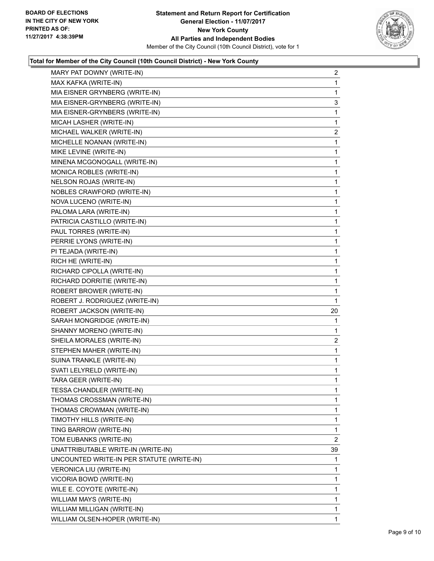

| MARY PAT DOWNY (WRITE-IN)                 | 2              |
|-------------------------------------------|----------------|
| MAX KAFKA (WRITE-IN)                      | 1              |
| MIA EISNER GRYNBERG (WRITE-IN)            | 1              |
| MIA EISNER-GRYNBERG (WRITE-IN)            | 3              |
| MIA EISNER-GRYNBERS (WRITE-IN)            | 1              |
| MICAH LASHER (WRITE-IN)                   | 1              |
| MICHAEL WALKER (WRITE-IN)                 | $\overline{2}$ |
| MICHELLE NOANAN (WRITE-IN)                | 1              |
| MIKE LEVINE (WRITE-IN)                    | 1              |
| MINENA MCGONOGALL (WRITE-IN)              | 1              |
| MONICA ROBLES (WRITE-IN)                  | 1              |
| NELSON ROJAS (WRITE-IN)                   | 1              |
| NOBLES CRAWFORD (WRITE-IN)                | 1              |
| NOVA LUCENO (WRITE-IN)                    | 1              |
| PALOMA LARA (WRITE-IN)                    | 1              |
| PATRICIA CASTILLO (WRITE-IN)              | 1              |
| PAUL TORRES (WRITE-IN)                    | 1              |
| PERRIE LYONS (WRITE-IN)                   | 1              |
| PI TEJADA (WRITE-IN)                      | 1              |
| RICH HE (WRITE-IN)                        | 1              |
| RICHARD CIPOLLA (WRITE-IN)                | 1              |
| RICHARD DORRITIE (WRITE-IN)               | 1              |
| ROBERT BROWER (WRITE-IN)                  | 1              |
| ROBERT J. RODRIGUEZ (WRITE-IN)            | 1              |
| ROBERT JACKSON (WRITE-IN)                 | 20             |
| SARAH MONGRIDGE (WRITE-IN)                | 1              |
| SHANNY MORENO (WRITE-IN)                  | 1              |
| SHEILA MORALES (WRITE-IN)                 | $\overline{a}$ |
| STEPHEN MAHER (WRITE-IN)                  | 1              |
| SUINA TRANKLE (WRITE-IN)                  | 1              |
| SVATI LELYRELD (WRITE-IN)                 | 1              |
| TARA GEER (WRITE-IN)                      | $\mathbf{1}$   |
| TESSA CHANDLER (WRITE-IN)                 | 1              |
| THOMAS CROSSMAN (WRITE-IN)                | 1              |
| THOMAS CROWMAN (WRITE-IN)                 | 1              |
| TIMOTHY HILLS (WRITE-IN)                  | 1              |
| TING BARROW (WRITE-IN)                    | 1              |
| TOM EUBANKS (WRITE-IN)                    | $\overline{2}$ |
| UNATTRIBUTABLE WRITE-IN (WRITE-IN)        | 39             |
| UNCOUNTED WRITE-IN PER STATUTE (WRITE-IN) | 1              |
| <b>VERONICA LIU (WRITE-IN)</b>            | 1              |
| VICORIA BOWD (WRITE-IN)                   | 1              |
| WILE E. COYOTE (WRITE-IN)                 | 1              |
| WILLIAM MAYS (WRITE-IN)                   | 1              |
| WILLIAM MILLIGAN (WRITE-IN)               | 1              |
| WILLIAM OLSEN-HOPER (WRITE-IN)            | 1              |